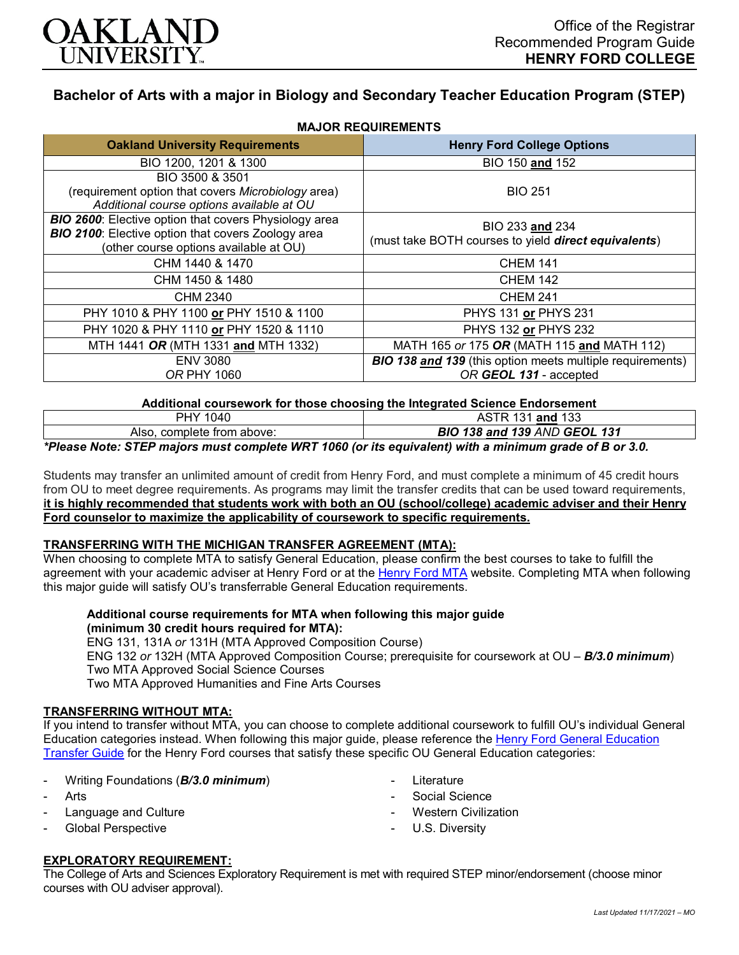

# **Bachelor of Arts with a major in Biology and Secondary Teacher Education Program (STEP)**

| <b>Oakland University Requirements</b>                                                                                                                              | <b>Henry Ford College Options</b>                                                          |  |  |  |  |  |  |
|---------------------------------------------------------------------------------------------------------------------------------------------------------------------|--------------------------------------------------------------------------------------------|--|--|--|--|--|--|
| BIO 1200, 1201 & 1300                                                                                                                                               | BIO 150 and 152                                                                            |  |  |  |  |  |  |
| BIO 3500 & 3501<br>(requirement option that covers Microbiology area)<br>Additional course options available at OU                                                  | <b>BIO 251</b>                                                                             |  |  |  |  |  |  |
| <b>BIO 2600:</b> Elective option that covers Physiology area<br><b>BIO 2100:</b> Elective option that covers Zoology area<br>(other course options available at OU) | BIO 233 and 234<br>(must take BOTH courses to yield direct equivalents)                    |  |  |  |  |  |  |
| CHM 1440 & 1470                                                                                                                                                     | <b>CHEM 141</b>                                                                            |  |  |  |  |  |  |
| CHM 1450 & 1480                                                                                                                                                     | <b>CHEM 142</b>                                                                            |  |  |  |  |  |  |
| CHM 2340                                                                                                                                                            | <b>CHEM 241</b>                                                                            |  |  |  |  |  |  |
| PHY 1010 & PHY 1100 or PHY 1510 & 1100                                                                                                                              | PHYS 131 or PHYS 231                                                                       |  |  |  |  |  |  |
| PHY 1020 & PHY 1110 or PHY 1520 & 1110                                                                                                                              | PHYS 132 or PHYS 232                                                                       |  |  |  |  |  |  |
| MTH 1441 OR (MTH 1331 and MTH 1332)                                                                                                                                 | MATH 165 or 175 OR (MATH 115 and MATH 112)                                                 |  |  |  |  |  |  |
| <b>ENV 3080</b><br><b>OR PHY 1060</b>                                                                                                                               | <b>BIO 138 and 139</b> (this option meets multiple requirements)<br>OR GEOL 131 - accepted |  |  |  |  |  |  |

## **MAJOR REQUIREMENTS**

**Additional coursework for those choosing the Integrated Science Endorsement**

|                               |   | 133<br>10 A<br>and<br>∼ |  |  |  |          |  |  |  |               |   |  |  |                          |  |    |               |  |
|-------------------------------|---|-------------------------|--|--|--|----------|--|--|--|---------------|---|--|--|--------------------------|--|----|---------------|--|
| complete from above:<br>Also. |   |                         |  |  |  |          |  |  |  | BIO           |   |  |  | 138 and 139 AND GEOL 131 |  |    |               |  |
| $\mathbf{A}$                  | . | $- - -$                 |  |  |  | $\cdots$ |  |  |  | $\rightarrow$ | . |  |  |                          |  | -- | $\sim$ $\sim$ |  |

*\*Please Note: STEP majors must complete WRT 1060 (or its equivalent) with a minimum grade of B or 3.0.*

Students may transfer an unlimited amount of credit from Henry Ford, and must complete a minimum of 45 credit hours from OU to meet degree requirements. As programs may limit the transfer credits that can be used toward requirements, **it is highly recommended that students work with both an OU (school/college) academic adviser and their Henry Ford counselor to maximize the applicability of coursework to specific requirements.**

#### **TRANSFERRING WITH THE MICHIGAN TRANSFER AGREEMENT (MTA):**

When choosing to complete MTA to satisfy General Education, please confirm the best courses to take to fulfill the agreement with your academic adviser at Henry Ford or at the [Henry Ford MTA](https://catalog.hfcc.edu/degrees/gen-ed) website. Completing MTA when following this major guide will satisfy OU's transferrable General Education requirements.

#### **Additional course requirements for MTA when following this major guide (minimum 30 credit hours required for MTA):**

ENG 131, 131A *or* 131H (MTA Approved Composition Course) ENG 132 *or* 132H (MTA Approved Composition Course; prerequisite for coursework at OU – *B/3.0 minimum*) Two MTA Approved Social Science Courses Two MTA Approved Humanities and Fine Arts Courses

#### **TRANSFERRING WITHOUT MTA:**

If you intend to transfer without MTA, you can choose to complete additional coursework to fulfill OU's individual General Education categories instead. When following this major guide, please reference the [Henry Ford General Education](https://www.oakland.edu/Assets/Oakland/program-guides/henry-ford-college/university-general-education-requirements/Henry%20Ford%20Gen%20Ed.pdf)  [Transfer Guide](https://www.oakland.edu/Assets/Oakland/program-guides/henry-ford-college/university-general-education-requirements/Henry%20Ford%20Gen%20Ed.pdf) for the Henry Ford courses that satisfy these specific OU General Education categories:

- Writing Foundations (*B/3.0 minimum*)
- **Arts**
- Language and Culture
- Global Perspective
- **Literature**
- Social Science
- Western Civilization
- U.S. Diversity

#### **EXPLORATORY REQUIREMENT:**

The College of Arts and Sciences Exploratory Requirement is met with required STEP minor/endorsement (choose minor courses with OU adviser approval).